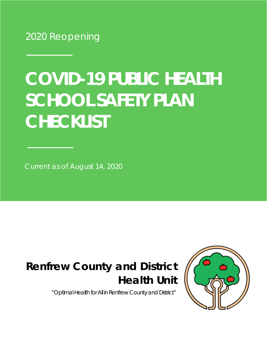2020 Reopening

# **SCHOOL SAFETY PLAN CHECKLIST COVID-19 PUBLIC HEALTH**

Current as of August 14, 2020

## **Renfrew County and District Health Unit**

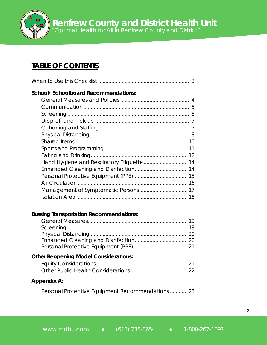#### **TABLE OF CONTENTS**

| <b>School/ Schoolboard Recommendations:</b> |
|---------------------------------------------|
|                                             |
|                                             |
|                                             |
|                                             |
|                                             |
|                                             |
|                                             |
|                                             |
|                                             |
|                                             |
|                                             |
|                                             |
|                                             |
|                                             |
|                                             |

#### **Bussing Transportation Recommendations:**

| <b>Other Reopening Model Considerations:</b> |  |
|----------------------------------------------|--|
|                                              |  |
|                                              |  |

Personal Protective Equipment Recommendations ........... 23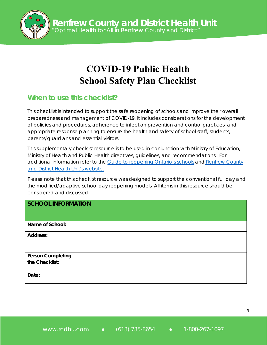

### **COVID-19 Public Health School Safety Plan Checklist**

#### **When to use this checklist?**

This checklist is intended to support the safe reopening of schools and improve their overall preparedness and management of COVID-19. It includes considerations for the development of policies and procedures, adherence to infection prevention and control practices, and appropriate response planning to ensure the health and safety of school staff, students, parents/guardians and essential visitors.

This supplementary checklist resource is to be used in conjunction with Ministry of Education, Ministry of Health and Public Health directives, guidelines, and recommendations. For additional information refer to the [Guide to reopening Ontario's](https://www.ontario.ca/page/guide-reopening-ontarios-schools) schools and [Renfrew](https://www.rcdhu.com/) County [and District Health](www.rcdhu.com) Unit's website.

Please note that this checklist resource was designed to support the conventional full day and the modified/adaptive school day reopening models. All items in this resource should be considered and discussed.

| <b>SCHOOL INFORMATION</b>                  |  |
|--------------------------------------------|--|
| Name of School:                            |  |
| <b>Address:</b>                            |  |
| <b>Person Completing</b><br>the Checklist: |  |
| Date:                                      |  |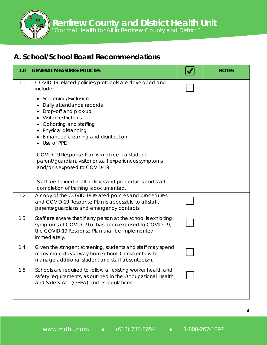*"Optimal Health for All in Renfrew County and District"*

#### **A. School/School Board Recommendations**

| 1.0 | <b>GENERAL MEASURES/POLICIES</b>                                                                                                                                                                                                                                                                                                                                                                                                                                                              | <b>NOTES</b> |
|-----|-----------------------------------------------------------------------------------------------------------------------------------------------------------------------------------------------------------------------------------------------------------------------------------------------------------------------------------------------------------------------------------------------------------------------------------------------------------------------------------------------|--------------|
| 1.1 | COVID-19 related policies/protocols are developed and<br>include:<br>Screening/Exclusion<br>Daily attendance records<br>Drop-off and pick-up<br><b>Visitor restrictions</b><br>Cohorting and staffing<br>Physical distancing<br>Enhanced cleaning and disinfection<br>Use of PPE<br>COVID-19 Response Plan is in place if a student,<br>parent/guardian, visitor or staff experiences symptoms<br>and/or is exposed to COVID-19<br>Staff are trained in all policies and procedures and staff |              |
| 1.2 | completion of training is documented.<br>A copy of the COVID-19 related policies and procedures<br>and COVID-19 Response Plan is accessible to all staff,<br>parents/guardians and emergency contacts.                                                                                                                                                                                                                                                                                        |              |
| 1.3 | Staff are aware that if any person at the school is exhibiting<br>symptoms of COVID-19 or has been exposed to COVID-19,<br>the COVID-19 Response Plan shall be implemented<br>immediately.                                                                                                                                                                                                                                                                                                    |              |
| 1.4 | Given the stringent screening, students and staff may spend<br>many more days away from school. Consider how to<br>manage additional student and staff absenteeism.                                                                                                                                                                                                                                                                                                                           |              |
| 1.5 | Schools are required to follow all existing worker health and<br>safety requirements, as outlined in the Occupational Health<br>and Safety Act (OHSA) and its regulations.                                                                                                                                                                                                                                                                                                                    |              |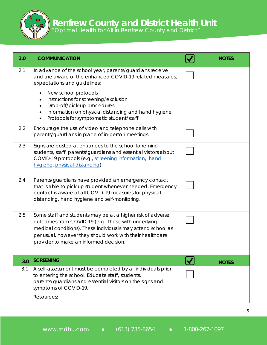| 2.0 | <b>COMMUNICATION</b>                                                                                                                                                                                                                                                                    | <b>NOTES</b> |
|-----|-----------------------------------------------------------------------------------------------------------------------------------------------------------------------------------------------------------------------------------------------------------------------------------------|--------------|
| 2.1 | In advance of the school year, parents/guardians receive<br>and are aware of the enhanced COVID-19 related measures,<br>expectations and guidelines:                                                                                                                                    |              |
|     | New school protocols<br>Instructions for screening/exclusion<br>Drop-off/pick-up procedures<br>Information on physical distancing and hand hygiene<br>$\bullet$<br>Protocols for symptomatic student/staff                                                                              |              |
| 2.2 | Encourage the use of video and telephone calls with<br>parents/guardians in place of in-person meetings.                                                                                                                                                                                |              |
| 2.3 | Signs are posted at entrances to the school to remind<br>students, staff, parents/guardians and essential visitors about<br>COVID-19 protocols (e.g., screening information, hand<br>hygiene, physical distancing).                                                                     |              |
| 2.4 | Parents/guardians have provided an emergency contact<br>that is able to pick up student whenever needed. Emergency<br>contact is aware of all COVID-19 measures for physical<br>distancing, hand hygiene and self-monitoring.                                                           |              |
| 2.5 | Some staff and students may be at a higher risk of adverse<br>outcomes from COVID-19 (e.g., those with underlying<br>medical conditions). These individuals may attend school as<br>per usual, however they should work with their healthcare<br>provider to make an informed decision. |              |
| 3.0 | <b>SCREENING</b>                                                                                                                                                                                                                                                                        | <b>NOTES</b> |
| 3.1 | A self-assessment must be completed by all individuals prior<br>to entering the school. Educate staff, students,<br>parents/guardians and essential visitors on the signs and<br>symptoms of COVID-19.<br>Resources:                                                                    |              |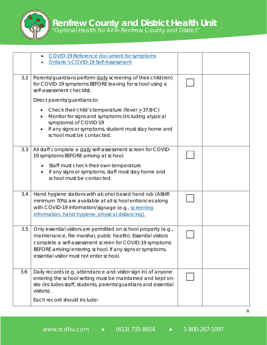|     | COVID-19 Reference document for symptoms<br><b>Ontario's COVID-19 Self-Assessment</b>                                                                                                                                                                                                                 |  |
|-----|-------------------------------------------------------------------------------------------------------------------------------------------------------------------------------------------------------------------------------------------------------------------------------------------------------|--|
| 3.2 | Parents/guardians perform daily screening of their child(ren)<br>for COVID-19 symptoms BEFORE leaving for school using a<br>self-assessment checklist.                                                                                                                                                |  |
|     | Direct parents/guardians to:                                                                                                                                                                                                                                                                          |  |
|     | Check their child's temperature (fever $\geq$ 37.8°C)<br>$\bullet$<br>Monitor for signs and symptoms (including atypical<br>symptoms) of COVID-19<br>If any signs or symptoms, student must stay home and<br>school must be contacted.                                                                |  |
| 3.3 | All staff complete a daily self-assessment screen for COVID-<br>19 symptoms BEFORE arriving at school.<br>Staff must check their own temperature<br>If any signs or symptoms, staff must stay home and<br>$\bullet$<br>school must be contacted.                                                      |  |
| 3.4 | Hand hygiene stations with alcohol based hand rub (ABHR<br>minimum 70%) are available at all school entrances along<br>with COVID-19 information/signage (e.g., screening<br>information, hand hygiene, physical distancing).                                                                         |  |
| 3.5 | Only essential visitors are permitted on school property (e.g.,<br>maintenance, fire marshal, public health). Essential visitors<br>complete a self-assessment screen for COVID-19 symptoms<br>BEFORE arriving/entering school. If any signs or symptoms,<br>essential visitor must not enter school. |  |
| 3.6 | Daily records (e.g. attendance and visitor sign in) of anyone<br>entering the school setting must be maintained and kept on-<br>site (includes staff, students, parents/guardians and essential<br>visitors).<br>Each record should include:                                                          |  |
|     |                                                                                                                                                                                                                                                                                                       |  |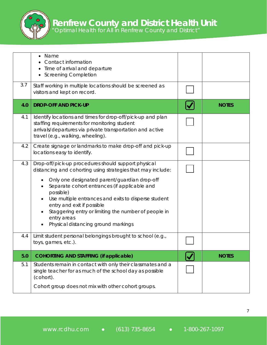

| 3.7 | Name<br>Contact information<br>Time of arrival and departure<br><b>Screening Completion</b><br>Staff working in multiple locations should be screened as                                                                                                                                                                                                                                                                                                      |              |
|-----|---------------------------------------------------------------------------------------------------------------------------------------------------------------------------------------------------------------------------------------------------------------------------------------------------------------------------------------------------------------------------------------------------------------------------------------------------------------|--------------|
|     | visitors and kept on record.                                                                                                                                                                                                                                                                                                                                                                                                                                  |              |
| 4.0 | <b>DROP-OFF AND PICK-UP</b>                                                                                                                                                                                                                                                                                                                                                                                                                                   | <b>NOTES</b> |
| 4.1 | Identify locations and times for drop-off/pick-up and plan<br>staffing requirements for monitoring student<br>arrivals/departures via private transportation and active<br>travel (e.g., walking, wheeling).                                                                                                                                                                                                                                                  |              |
| 4.2 | Create signage or landmarks to make drop-off and pick-up<br>locations easy to identify.                                                                                                                                                                                                                                                                                                                                                                       |              |
| 4.3 | Drop-off/pick-up procedures should support physical<br>distancing and cohorting using strategies that may include:<br>Only one designated parent/guardian drop-off<br>$\bullet$<br>Separate cohort entrances (if applicable and<br>possible)<br>Use multiple entrances and exits to disperse student<br>entry and exit if possible<br>Staggering entry or limiting the number of people in<br>$\bullet$<br>entry areas<br>Physical distancing ground markings |              |
| 4.4 | Limit student personal belongings brought to school (e.g.,<br>toys, games, etc.).                                                                                                                                                                                                                                                                                                                                                                             |              |
| 5.0 | <b>COHORTING AND STAFFING (if applicable)</b>                                                                                                                                                                                                                                                                                                                                                                                                                 | <b>NOTES</b> |
| 5.1 | Students remain in contact with only their classmates and a<br>single teacher for as much of the school day as possible<br>(cohort).                                                                                                                                                                                                                                                                                                                          |              |
|     | Cohort group does not mix with other cohort groups.                                                                                                                                                                                                                                                                                                                                                                                                           |              |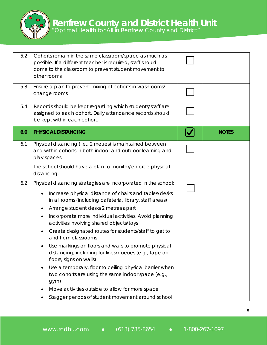

| 5.2 | Cohorts remain in the same classroom/space as much as<br>possible. If a different teacher is required, staff should<br>come to the classroom to prevent student movement to<br>other rooms.                                                                                                                                                                                                                                                                                                                                                                                                                                                                                                                                                                                                                                                     |              |
|-----|-------------------------------------------------------------------------------------------------------------------------------------------------------------------------------------------------------------------------------------------------------------------------------------------------------------------------------------------------------------------------------------------------------------------------------------------------------------------------------------------------------------------------------------------------------------------------------------------------------------------------------------------------------------------------------------------------------------------------------------------------------------------------------------------------------------------------------------------------|--------------|
| 5.3 | Ensure a plan to prevent mixing of cohorts in washrooms/<br>change rooms.                                                                                                                                                                                                                                                                                                                                                                                                                                                                                                                                                                                                                                                                                                                                                                       |              |
| 5.4 | Records should be kept regarding which students/staff are<br>assigned to each cohort. Daily attendance records should<br>be kept within each cohort.                                                                                                                                                                                                                                                                                                                                                                                                                                                                                                                                                                                                                                                                                            |              |
| 6.0 | PHYSICAL DISTANCING                                                                                                                                                                                                                                                                                                                                                                                                                                                                                                                                                                                                                                                                                                                                                                                                                             | <b>NOTES</b> |
| 6.1 | Physical distancing (i.e., 2 metres) is maintained between<br>and within cohorts in both indoor and outdoor learning and<br>play spaces.                                                                                                                                                                                                                                                                                                                                                                                                                                                                                                                                                                                                                                                                                                        |              |
|     | The school should have a plan to monitor/enforce physical<br>distancing.                                                                                                                                                                                                                                                                                                                                                                                                                                                                                                                                                                                                                                                                                                                                                                        |              |
| 6.2 | Physical distancing strategies are incorporated in the school:<br>Increase physical distance of chairs and tables/desks<br>$\bullet$<br>in all rooms (including cafeteria, library, staff areas)<br>Arrange student desks 2 metres apart<br>$\bullet$<br>Incorporate more individual activities. Avoid planning<br>٠<br>activities involving shared objects/toys<br>Create designated routes for students/staff to get to<br>٠<br>and from classrooms<br>Use markings on floors and walls to promote physical<br>distancing, including for lines/queues (e.g., tape on<br>floors, signs on walls)<br>Use a temporary, floor to ceiling physical barrier when<br>$\bullet$<br>two cohorts are using the same indoor space (e.g.,<br>gym)<br>Move activities outside to allow for more space<br>Stagger periods of student movement around school |              |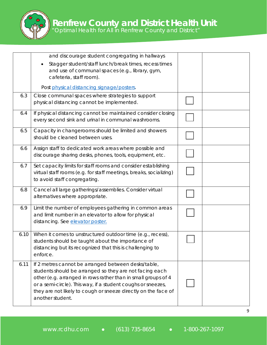

|      | and discourage student congregating in hallways<br>Stagger student/staff lunch/break times, recess times<br>and use of communal spaces (e.g., library, gym,<br>cafeteria, staff room).                                                                                                                                                |  |
|------|---------------------------------------------------------------------------------------------------------------------------------------------------------------------------------------------------------------------------------------------------------------------------------------------------------------------------------------|--|
|      | Post physical distancing signage/posters.                                                                                                                                                                                                                                                                                             |  |
| 6.3  | Close communal spaces where strategies to support<br>physical distancing cannot be implemented.                                                                                                                                                                                                                                       |  |
| 6.4  | If physical distancing cannot be maintained consider closing<br>every second sink and urinal in communal washrooms.                                                                                                                                                                                                                   |  |
| 6.5  | Capacity in changerooms should be limited and showers<br>should be cleaned between uses.                                                                                                                                                                                                                                              |  |
| 6.6  | Assign staff to dedicated work areas where possible and<br>discourage sharing desks, phones, tools, equipment, etc.                                                                                                                                                                                                                   |  |
| 6.7  | Set capacity limits for staff rooms and consider establishing<br>virtual staff rooms (e.g. for staff meetings, breaks, socializing)<br>to avoid staff congregating.                                                                                                                                                                   |  |
| 6.8  | Cancel all large gatherings/assemblies. Consider virtual<br>alternatives where appropriate.                                                                                                                                                                                                                                           |  |
| 6.9  | Limit the number of employees gathering in common areas<br>and limit number in an elevator to allow for physical<br>distancing. See elevator poster.                                                                                                                                                                                  |  |
| 6.10 | When it comes to unstructured outdoor time (e.g., recess),<br>students should be taught about the importance of<br>distancing but its recognized that this is challenging to<br>enforce.                                                                                                                                              |  |
| 6.11 | If 2 metres cannot be arranged between desks/table,<br>students should be arranged so they are not facing each<br>other (e.g. arranged in rows rather than in small groups of 4<br>or a semi-circle). This way, if a student coughs or sneezes,<br>they are not likely to cough or sneeze directly on the face of<br>another student. |  |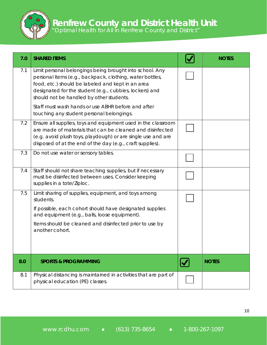| 7.0 | <b>SHARED ITEMS</b>                                                                                                                                                                                                                                                              | <b>NOTES</b> |
|-----|----------------------------------------------------------------------------------------------------------------------------------------------------------------------------------------------------------------------------------------------------------------------------------|--------------|
| 7.1 | Limit personal belongings being brought into school. Any<br>personal items (e.g., backpack, clothing, water bottles,<br>food, etc.) should be labeled and kept in an area<br>designated for the student (e.g., cubbies, lockers) and<br>should not be handled by other students. |              |
|     | Staff must wash hands or use ABHR before and after<br>touching any student personal belongings.                                                                                                                                                                                  |              |
| 7.2 | Ensure all supplies, toys and equipment used in the classroom<br>are made of materials that can be cleaned and disinfected<br>(e.g. avoid plush toys, playdough) or are single use and are<br>disposed of at the end of the day (e.g., craft supplies).                          |              |
| 7.3 | Do not use water or sensory tables.                                                                                                                                                                                                                                              |              |
| 7.4 | Staff should not share teaching supplies, but if necessary<br>must be disinfected between uses. Consider keeping<br>supplies in a tote/Ziploc.                                                                                                                                   |              |
| 7.5 | Limit sharing of supplies, equipment, and toys among<br>students.<br>If possible, each cohort should have designated supplies<br>and equipment (e.g., balls, loose equipment).                                                                                                   |              |
|     | Items should be cleaned and disinfected prior to use by<br>another cohort.                                                                                                                                                                                                       |              |
| 8.0 | <b>SPORTS &amp; PROGRAMMING</b>                                                                                                                                                                                                                                                  | <b>NOTES</b> |
| 8.1 | Physical distancing is maintained in activities that are part of<br>physical education (PE) classes.                                                                                                                                                                             |              |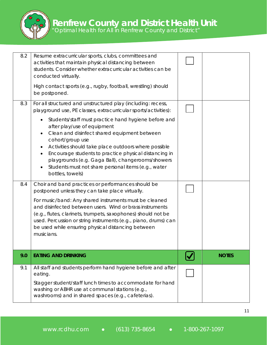

|     | Stagger student/staff lunch times to accommodate for hand<br>washing or ABHR use at communal stations (e.g.,<br>washrooms) and in shared spaces (e.g., cafeterias).                                                                                                                                                                                                                                                                 |              |
|-----|-------------------------------------------------------------------------------------------------------------------------------------------------------------------------------------------------------------------------------------------------------------------------------------------------------------------------------------------------------------------------------------------------------------------------------------|--------------|
| 9.1 | All staff and students perform hand hygiene before and after<br>eating.                                                                                                                                                                                                                                                                                                                                                             |              |
| 9.0 | <b>EATING AND DRINKING</b>                                                                                                                                                                                                                                                                                                                                                                                                          | <b>NOTES</b> |
| 8.4 | Choir and band practices or performances should be<br>postponed unless they can take place virtually.<br>For music/band: Any shared instruments must be cleaned<br>and disinfected between users. Wind or brass instruments<br>(e.g., flutes, clarinets, trumpets, saxophones) should not be<br>used. Percussion or string instruments (e.g., piano, drums) can<br>be used while ensuring physical distancing between<br>musicians. |              |
|     | Students/staff must practice hand hygiene before and<br>after play/use of equipment<br>Clean and disinfect shared equipment between<br>cohort/group use<br>Activities should take place outdoors where possible<br>Encourage students to practice physical distancing in<br>playgrounds (e.g. Gaga Ball), changerooms/showers<br>Students must not share personal items (e.g., water<br>bottles, towels)                            |              |
| 8.3 | For all structured and unstructured play (including: recess,<br>playground use, PE classes, extracurricular sports/activities):                                                                                                                                                                                                                                                                                                     |              |
|     | High contact sports (e.g., rugby, football, wrestling) should<br>be postponed.                                                                                                                                                                                                                                                                                                                                                      |              |
| 8.2 | Resume extracurricular sports, clubs, committees and<br>activities that maintain physical distancing between<br>students. Consider whether extracurricular activities can be<br>conducted virtually.                                                                                                                                                                                                                                |              |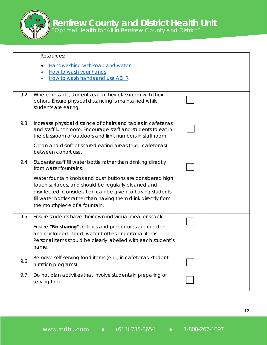|     | Resources:<br>Handwashing with soap and water<br>٠<br>How to wash your hands<br>$\bullet$<br>How to wash hands and use ABHR<br>$\bullet$                                                                                                                                          |  |
|-----|-----------------------------------------------------------------------------------------------------------------------------------------------------------------------------------------------------------------------------------------------------------------------------------|--|
| 9.2 | Where possible, students eat in their classroom with their<br>cohort. Ensure physical distancing is maintained while<br>students are eating.                                                                                                                                      |  |
| 9.3 | Increase physical distance of chairs and tables in cafeterias<br>and staff lunchroom. Encourage staff and students to eat in<br>the classroom or outdoors and limit numbers in staff room.                                                                                        |  |
|     | Clean and disinfect shared eating areas (e.g., cafeterias)<br>between cohort use.                                                                                                                                                                                                 |  |
| 9.4 | Students/staff fill water bottle rather than drinking directly<br>from water fountains.                                                                                                                                                                                           |  |
|     | Water fountain knobs and push buttons are considered high<br>touch surfaces, and should be regularly cleaned and<br>disinfected. Consideration can be given to having students<br>fill water bottles rather than having them drink directly from<br>the mouthpiece of a fountain. |  |
| 9.5 | Ensure students have their own individual meal or snack.                                                                                                                                                                                                                          |  |
|     | Ensure "No sharing" policies and procedures are created<br>and reinforced: food, water bottles or personal items.<br>Personal items should be clearly labelled with each student's<br>name.                                                                                       |  |
| 9.6 | Remove self-serving food items (e.g., in cafeterias, student<br>nutrition programs).                                                                                                                                                                                              |  |
| 9.7 | Do not plan activities that involve students in preparing or<br>serving food.                                                                                                                                                                                                     |  |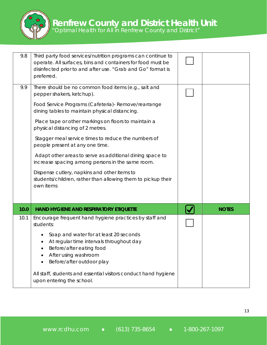

| 9.8  | Third party food services/nutrition programs can continue to<br>operate. All surfaces, bins and containers for food must be<br>disinfected prior to and after use. "Grab and Go" format is<br>preferred. |              |
|------|----------------------------------------------------------------------------------------------------------------------------------------------------------------------------------------------------------|--------------|
| 9.9  | There should be no common food items (e.g., salt and<br>pepper shakers, ketchup).                                                                                                                        |              |
|      | Food Service Programs (Cafeteria) - Remove/rearrange<br>dining tables to maintain physical distancing.                                                                                                   |              |
|      | Place tape or other markings on floors to maintain a<br>physical distancing of 2 metres.                                                                                                                 |              |
|      | Stagger meal service times to reduce the numbers of<br>people present at any one time.                                                                                                                   |              |
|      | Adapt other areas to serve as additional dining space to<br>increase spacing among persons in the same room.                                                                                             |              |
|      | Dispense cutlery, napkins and other items to<br>students/children, rather than allowing them to pickup their<br>own items                                                                                |              |
| 10.0 | <b>HAND HYGIENE AND RESPIRATORY ETIQUETTE</b>                                                                                                                                                            | <b>NOTES</b> |
| 10.1 | Encourage frequent hand hygiene practices by staff and<br>students:                                                                                                                                      |              |
|      | Soap and water for at least 20 seconds<br>At regular time intervals throughout day<br>Before/after eating food<br>After using washroom<br>Before/after outdoor play                                      |              |
|      | All staff, students and essential visitors conduct hand hygiene<br>upon entering the school.                                                                                                             |              |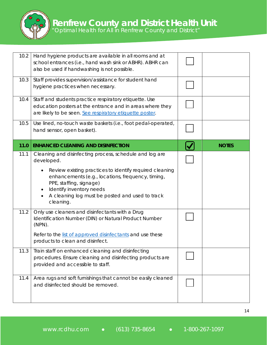

| 10.2 | Hand hygiene products are available in all rooms and at<br>school entrances (i.e., hand wash sink or ABHR). ABHR can<br>also be used if handwashing is not possible.                                                                                                                                                                   |              |
|------|----------------------------------------------------------------------------------------------------------------------------------------------------------------------------------------------------------------------------------------------------------------------------------------------------------------------------------------|--------------|
| 10.3 | Staff provides supervision/assistance for student hand<br>hygiene practices when necessary.                                                                                                                                                                                                                                            |              |
| 10.4 | Staff and students practice respiratory etiquette. Use<br>education posters at the entrance and in areas where they<br>are likely to be seen. See respiratory etiquette poster.                                                                                                                                                        |              |
| 10.5 | Use lined, no-touch waste baskets (i.e., foot pedal-operated,<br>hand sensor, open basket).                                                                                                                                                                                                                                            |              |
| 11.0 | <b>ENHANCED CLEANING AND DISINFECTION</b>                                                                                                                                                                                                                                                                                              | <b>NOTES</b> |
| 11.1 | Cleaning and disinfecting process, schedule and log are<br>developed.<br>Review existing practices to identify required cleaning<br>$\bullet$<br>enhancements (e.g., locations, frequency, timing,<br>PPE, staffing, signage)<br>Identify inventory needs<br>$\bullet$<br>A cleaning log must be posted and used to track<br>cleaning. |              |
| 11.2 | Only use cleaners and disinfectants with a Drug<br>Identification Number (DIN) or Natural Product Number<br>$(NPN)$ .<br>Refer to the list of approved disinfectants and use these<br>products to clean and disinfect.                                                                                                                 |              |
| 11.3 | Train staff on enhanced cleaning and disinfecting<br>procedures. Ensure cleaning and disinfecting products are<br>provided and accessible to staff.                                                                                                                                                                                    |              |
| 11.4 | Area rugs and soft furnishings that cannot be easily cleaned<br>and disinfected should be removed.                                                                                                                                                                                                                                     |              |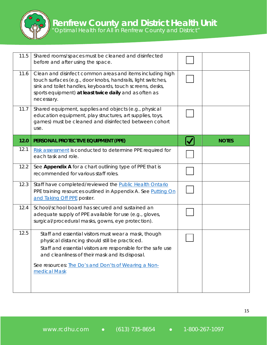

| 11.5 | Shared rooms/spaces must be cleaned and disinfected<br>before and after using the space.                                                                                                                                                                                                            |              |
|------|-----------------------------------------------------------------------------------------------------------------------------------------------------------------------------------------------------------------------------------------------------------------------------------------------------|--------------|
| 11.6 | Clean and disinfect common areas and items including high<br>touch surfaces (e.g., door knobs, handrails, light switches,<br>sink and toilet handles, keyboards, touch screens, desks,<br>sports equipment) at least twice daily and as often as<br>necessary.                                      |              |
| 11.7 | Shared equipment, supplies and objects (e.g., physical<br>education equipment, play structures, art supplies, toys,<br>games) must be cleaned and disinfected between cohort<br>use.                                                                                                                |              |
| 12.0 | PERSONAL PROTECTIVE EQUIPMENT (PPE)                                                                                                                                                                                                                                                                 | <b>NOTES</b> |
| 12.1 | Risk assessment is conducted to determine PPE required for<br>each task and role.                                                                                                                                                                                                                   |              |
| 12.2 | See Appendix A for a chart outlining type of PPE that is<br>recommended for various staff roles.                                                                                                                                                                                                    |              |
| 12.3 | Staff have completed/reviewed the Public Health Ontario<br>PPE training resources outlined in Appendix A. See Putting On<br>and Taking Off PPE poster.                                                                                                                                              |              |
| 12.4 | School/school board has secured and sustained an<br>adequate supply of PPE available for use (e.g., gloves,<br>surgical/procedural masks, gowns, eye protection).                                                                                                                                   |              |
| 12.5 | Staff and essential visitors must wear a mask, though<br>physical distancing should still be practiced.<br>Staff and essential visitors are responsible for the safe use<br>and cleanliness of their mask and its disposal.<br>See resources: The Do's and Don'ts of Wearing a Non-<br>medical Mask |              |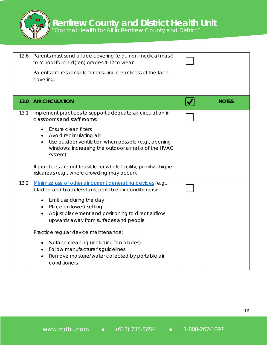

| 12.6 | Parents must send a face covering (e.g., non-medical mask)<br>to school for child(ren) grades 4-12 to wear.<br>Parents are responsible for ensuring cleanliness of the face<br>covering.                                                                                                                                                                                                                        |              |
|------|-----------------------------------------------------------------------------------------------------------------------------------------------------------------------------------------------------------------------------------------------------------------------------------------------------------------------------------------------------------------------------------------------------------------|--------------|
| 13.0 | <b>AIR CIRCULATION</b>                                                                                                                                                                                                                                                                                                                                                                                          | <b>NOTES</b> |
| 13.1 | Implement practices to support adequate air circulation in<br>classrooms and staff rooms:<br>Ensure clean filters<br>$\bullet$<br>Avoid recirculating air<br>Use outdoor ventilation when possible (e.g., opening<br>windows, increasing the outdoor air ratio of the HVAC<br>system)<br>If practices are not feasible for whole facility, prioritize higher                                                    |              |
|      | risk areas (e.g., where crowding may occur).                                                                                                                                                                                                                                                                                                                                                                    |              |
| 13.2 | Minimize use of other air current generating devices (e.g.,<br>bladed and bladeless fans, portable air conditioners):<br>Limit use during the day<br>Place on lowest setting<br>Adjust placement and positioning to direct airflow<br>$\bullet$<br>upwards away from surfaces and people<br>Practice regular device maintenance:<br>Surface cleaning (including fan blades)<br>Follow manufacturer's guidelines |              |
|      | $\bullet$<br>Remove moisture/water collected by portable air<br>$\bullet$<br>conditioners                                                                                                                                                                                                                                                                                                                       |              |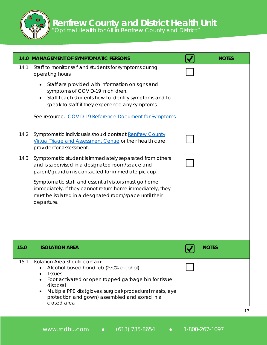

| 14.0         | <b>MANAGEMENT OF SYMPTOMATIC PERSONS</b>                                                                                                                                                                                                                                                                                                                                                                                                                       | <b>NOTES</b> |
|--------------|----------------------------------------------------------------------------------------------------------------------------------------------------------------------------------------------------------------------------------------------------------------------------------------------------------------------------------------------------------------------------------------------------------------------------------------------------------------|--------------|
| 14.1<br>14.2 | Staff to monitor self and students for symptoms during<br>operating hours.<br>Staff are provided with information on signs and<br>symptoms of COVID-19 in children.<br>Staff teach students how to identify symptoms and to<br>speak to staff if they experience any symptoms.<br>See resource: COVID-19 Reference Document for Symptoms<br>Symptomatic individuals should contact Renfrew County<br>Virtual Triage and Assessment Centre or their health care |              |
| 14.3         | provider for assessment.<br>Symptomatic student is immediately separated from others<br>and is supervised in a designated room/space and<br>parent/guardian is contacted for immediate pick up.<br>Symptomatic staff and essential visitors must go home<br>immediately. If they cannot return home immediately, they<br>must be isolated in a designated room/space until their<br>departure.                                                                 |              |
| 15.0         | <b>ISOLATION AREA</b>                                                                                                                                                                                                                                                                                                                                                                                                                                          | <b>NOTES</b> |
| 15.1         | Isolation Area should contain:<br>Alcohol-based hand rub (≥70% alcohol)<br>$\bullet$<br><b>Tissues</b><br>Foot activated or open topped garbage bin for tissue<br>disposal<br>Multiple PPE kits (gloves, surgical/procedural masks, eye<br>protection and gown) assembled and stored in a<br>closed area                                                                                                                                                       |              |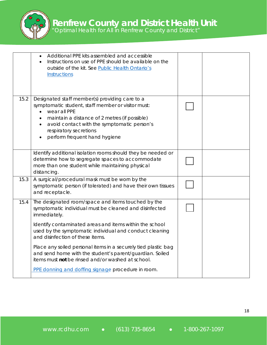|      | Additional PPE kits assembled and accessible<br>$\bullet$<br>Instructions on use of PPE should be available on the<br>outside of the kit. See Public Health Ontario's<br>Instructions                                                                                                                     |  |
|------|-----------------------------------------------------------------------------------------------------------------------------------------------------------------------------------------------------------------------------------------------------------------------------------------------------------|--|
| 15.2 | Designated staff member(s) providing care to a<br>symptomatic student, staff member or visitor must:<br>wear all PPE<br>$\bullet$<br>maintain a distance of 2 metres (if possible)<br>avoid contact with the symptomatic person's<br>$\bullet$<br>respiratory secretions<br>perform frequent hand hygiene |  |
|      | Identify additional isolation rooms should they be needed or<br>determine how to segregate spaces to accommodate<br>more than one student while maintaining physical<br>distancing.                                                                                                                       |  |
| 15.3 | A surgical/procedural mask must be worn by the<br>symptomatic person (if tolerated) and have their own tissues<br>and receptacle.                                                                                                                                                                         |  |
| 15.4 | The designated room/space and items touched by the<br>symptomatic individual must be cleaned and disinfected<br>immediately.                                                                                                                                                                              |  |
|      | Identify contaminated areas and items within the school<br>used by the symptomatic individual and conduct cleaning<br>and disinfection of these items.                                                                                                                                                    |  |
|      | Place any soiled personal items in a securely tied plastic bag<br>and send home with the student's parent/guardian. Soiled<br>items must not be rinsed and/or washed at school.                                                                                                                           |  |
|      | PPE donning and doffing signage procedure in room.                                                                                                                                                                                                                                                        |  |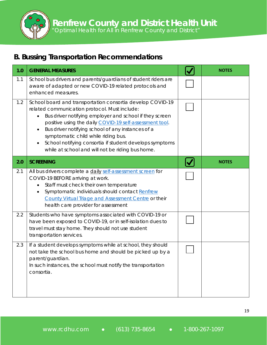*"Optimal Health for All in Renfrew County and District"*

#### **B. Bussing Transportation Recommendations**

| 1.0 | <b>GENERAL MEASURES</b>                                                                                                                                                                                                                                                                                                                                                                                                                                                | <b>NOTES</b> |
|-----|------------------------------------------------------------------------------------------------------------------------------------------------------------------------------------------------------------------------------------------------------------------------------------------------------------------------------------------------------------------------------------------------------------------------------------------------------------------------|--------------|
| 1.1 | School bus drivers and parents/guardians of student riders are<br>aware of adapted or new COVID-19 related protocols and<br>enhanced measures.                                                                                                                                                                                                                                                                                                                         |              |
| 1.2 | School board and transportation consortia develop COVID-19<br>related communication protocol. Must include:<br>Bus driver notifying employer and school if they screen<br>$\bullet$<br>positive using the daily COVID-19 self-assessment tool.<br>Bus driver notifying school of any instances of a<br>$\bullet$<br>symptomatic child while riding bus.<br>School notifying consortia if student develops symptoms<br>while at school and will not be riding bus home. |              |
| 2.0 | <b>SCREENING</b>                                                                                                                                                                                                                                                                                                                                                                                                                                                       | <b>NOTES</b> |
| 2.1 | All bus drivers complete a daily self-assessment screen for<br>COVID-19 BEFORE arriving at work.<br>Staff must check their own temperature<br>Symptomatic individuals should contact Renfrew<br>County Virtual Triage and Assessment Centre or their<br>health care provider for assessment                                                                                                                                                                            |              |
| 2.2 | Students who have symptoms associated with COVID-19 or<br>have been exposed to COVID-19, or in self-isolation dues to<br>travel must stay home. They should not use student<br>transportation services.                                                                                                                                                                                                                                                                |              |
| 2.3 | If a student develops symptoms while at school, they should<br>not take the school bus home and should be picked up by a<br>parent/guardian.<br>In such instances, the school must notify the transportation<br>consortia.                                                                                                                                                                                                                                             |              |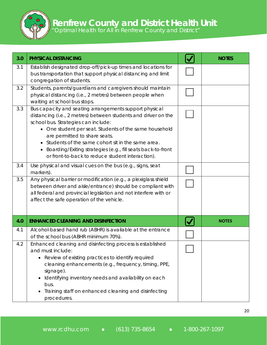| 3.0 | PHYSICAL DISTANCING                                                                                                                                                                                                                                                                                                                                                                                                                  | <b>NOTES</b> |
|-----|--------------------------------------------------------------------------------------------------------------------------------------------------------------------------------------------------------------------------------------------------------------------------------------------------------------------------------------------------------------------------------------------------------------------------------------|--------------|
| 3.1 | Establish designated drop-off/pick-up times and locations for<br>bus transportation that support physical distancing and limit<br>congregation of students.                                                                                                                                                                                                                                                                          |              |
| 3.2 | Students, parents/guardians and caregivers should maintain<br>physical distancing (i.e., 2 metres) between people when<br>waiting at school bus stops.                                                                                                                                                                                                                                                                               |              |
| 3.3 | Bus capacity and seating arrangements support physical<br>distancing (i.e., 2 metres) between students and driver on the<br>school bus. Strategies can include:<br>• One student per seat. Students of the same household<br>are permitted to share seats.<br>• Students of the same cohort sit in the same area.<br>Boarding/Exiting strategies (e.g., fill seats back-to-front<br>or front-to-back to reduce student interaction). |              |
| 3.4 | Use physical and visual cues on the bus (e.g., signs, seat<br>markers).                                                                                                                                                                                                                                                                                                                                                              |              |
| 3.5 | Any physical barrier or modification (e.g., a plexiglass shield<br>between driver and aisle/entrance) should be compliant with<br>all federal and provincial legislation and not interfere with or<br>affect the safe operation of the vehicle.                                                                                                                                                                                      |              |
| 4.0 | <b>ENHANCED CLEANING AND DISINFECTION</b>                                                                                                                                                                                                                                                                                                                                                                                            | <b>NOTES</b> |
| 4.1 | Alcohol-based hand rub (ABHR) is available at the entrance<br>of the school bus (ABHR minimum 70%).                                                                                                                                                                                                                                                                                                                                  |              |
| 4.2 | Enhanced cleaning and disinfecting process is established<br>and must include:<br>Review of existing practices to identify required<br>$\bullet$<br>cleaning enhancements (e.g., frequency, timing, PPE,<br>signage).<br>Identifying inventory needs and availability on each<br>٠<br>bus.<br>Training staff on enhanced cleaning and disinfecting<br>procedures.                                                                    |              |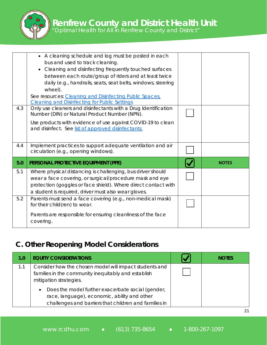*"Optimal Health for All in Renfrew County and District"*

| 4.3 | • A cleaning schedule and log must be posted in each<br>bus and used to track cleaning.<br>Cleaning and disinfecting frequently touched surfaces<br>between each route/group of riders and at least twice<br>daily (e.g., handrails, seats, seat belts, windows, steering<br>wheel).<br>See resources: Cleaning and Disinfecting Public Spaces,<br><b>Cleaning and Disinfecting for Public Settings</b><br>Only use cleaners and disinfectants with a Drug Identification<br>Number (DIN) or Natural Product Number (NPN).<br>Use products with evidence of use against COVID-19 to clean<br>and disinfect. See list of approved disinfectants. |              |
|-----|-------------------------------------------------------------------------------------------------------------------------------------------------------------------------------------------------------------------------------------------------------------------------------------------------------------------------------------------------------------------------------------------------------------------------------------------------------------------------------------------------------------------------------------------------------------------------------------------------------------------------------------------------|--------------|
| 4.4 | Implement practices to support adequate ventilation and air<br>circulation (e.g., opening windows).                                                                                                                                                                                                                                                                                                                                                                                                                                                                                                                                             |              |
|     |                                                                                                                                                                                                                                                                                                                                                                                                                                                                                                                                                                                                                                                 |              |
| 5.0 | PERSONAL PROTECTIVE EQUIPMENT (PPE)                                                                                                                                                                                                                                                                                                                                                                                                                                                                                                                                                                                                             | <b>NOTES</b> |
| 5.1 | Where physical distancing is challenging, bus driver should<br>wear a face covering, or surgical/procedure mask and eye<br>protection (goggles or face shield). Where direct contact with<br>a student is required, driver must also wear gloves.                                                                                                                                                                                                                                                                                                                                                                                               |              |

#### **C. Other Reopening Model Considerations**

| 1.0 | <b>EQUITY CONSIDERATIONS</b>                                                                                                                                            | <b>NOTES</b> |
|-----|-------------------------------------------------------------------------------------------------------------------------------------------------------------------------|--------------|
| 1.1 | Consider how the chosen model will impact students and<br>families in the community inequitably and establish<br>mitigation strategies.                                 |              |
|     | Does the model further exacerbate social (gender,<br>$\bullet$<br>race, language), economic, ability and other<br>challenges and barriers that children and families in |              |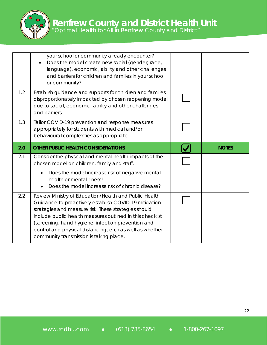|     | your school or community already encounter?<br>Does the model create new social (gender, race,<br>language), economic, ability and other challenges<br>and barriers for children and families in your school<br>or community? |              |
|-----|-------------------------------------------------------------------------------------------------------------------------------------------------------------------------------------------------------------------------------|--------------|
| 1.2 | Establish guidance and supports for children and families<br>disproportionately impacted by chosen reopening model<br>due to social, economic, ability and other challenges<br>and barriers.                                  |              |
| 1.3 | Tailor COVID-19 prevention and response measures<br>appropriately for students with medical and/or<br>behavioural complexities as appropriate.                                                                                |              |
| 2.0 | <b>OTHER PUBLIC HEALTH CONSIDERATIONS</b>                                                                                                                                                                                     | <b>NOTES</b> |
|     |                                                                                                                                                                                                                               |              |
| 2.1 | Consider the physical and mental health impacts of the<br>chosen model on children, family and staff.                                                                                                                         |              |
|     | Does the model increase risk of negative mental<br>$\bullet$<br>health or mental illness?<br>Does the model increase risk of chronic disease?                                                                                 |              |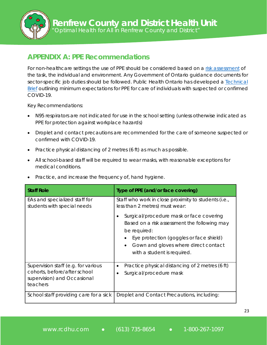*"Optimal Health for All in Renfrew County and District"*

#### **APPENDIX A: PPE Recommendations**

For non-healthcare settings the use of PPE should be considered based on a [risk assessment](https://www.publichealthontario.ca/-/media/documents/c/2013/clinical-office-risk-algorithm-ppe.pdf?la=en) of the task, the individual and environment. Any Government of Ontario guidance documents for sector-specific job duties should be followed. Public Health Ontario has developed a [Technical](https://www.publichealthontario.ca/-/media/documents/ncov/updated-ipac-measures-covid-19.pdf?la=en) [Brief](https://www.publichealthontario.ca/-/media/documents/ncov/updated-ipac-measures-covid-19.pdf?la=en) outlining minimum expectations for PPE for care of individuals with suspected or confirmed COVID-19.

Key Recommendations:

- N95 respirators are not indicated for use in the school setting (unless otherwise indicated as PPE for protection against workplace hazards)
- Droplet and contact precautions are recommended for the care of someone suspected or confirmed with COVID-19.
- Practice physical distancing of 2 metres (6 ft) as much as possible.
- All school-based staff will be required to wear masks, with reasonable exceptions for medical conditions.
- Practice, and increase the frequency of, hand hygiene.

| <b>Staff Role</b>                                                                                              | Type of PPE (and/or face covering)                                                                                                                                                                                                                                                                                                |
|----------------------------------------------------------------------------------------------------------------|-----------------------------------------------------------------------------------------------------------------------------------------------------------------------------------------------------------------------------------------------------------------------------------------------------------------------------------|
| EAs and specialized staff for<br>students with special needs                                                   | Staff who work in close proximity to students (i.e.,<br>less than 2 metres) must wear:<br>Surgical/procedure mask or face covering<br>Based on a risk assessment the following may<br>be required:<br>Eye protection (goggles or face shield)<br>Gown and gloves where direct contact<br>$\bullet$<br>with a student is required. |
|                                                                                                                |                                                                                                                                                                                                                                                                                                                                   |
| Supervision staff (e.g. for various<br>cohorts, before/after school<br>supervision) and Occasional<br>teachers | Practice physical distancing of 2 metres (6 ft)<br>Surgical/procedure mask                                                                                                                                                                                                                                                        |
| School staff providing care for a sick                                                                         | Droplet and Contact Precautions, including:                                                                                                                                                                                                                                                                                       |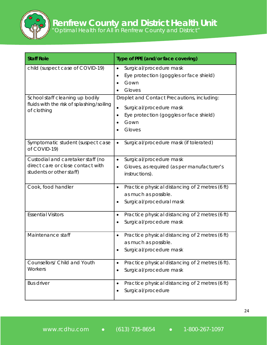| <b>Staff Role</b>                                                                                  | Type of PPE (and/or face covering)                                                                                                               |
|----------------------------------------------------------------------------------------------------|--------------------------------------------------------------------------------------------------------------------------------------------------|
| child (suspect case of COVID-19)                                                                   | Surgical/procedure mask<br>$\bullet$<br>Eye protection (goggles or face shield)<br>$\bullet$<br>Gown<br>Gloves                                   |
| School staff cleaning up bodily<br>fluids with the risk of splashing/soiling<br>of clothing        | Droplet and Contact Precautions, including:<br>Surgical/procedure mask<br>$\bullet$<br>Eye protection (goggles or face shield)<br>Gown<br>Gloves |
| Symptomatic student (suspect case<br>of COVID-19)                                                  | Surgical/procedure mask (if tolerated)<br>$\bullet$                                                                                              |
| Custodial and caretaker staff (no<br>direct care or close contact with<br>students or other staff) | Surgical/procedure mask<br>$\bullet$<br>Gloves, as required (as per manufacturer's<br>instructions).                                             |
| Cook, food handler                                                                                 | Practice physical distancing of 2 metres (6 ft)<br>$\bullet$<br>as much as possible.<br>Surgical/procedural mask                                 |
| <b>Essential Visitors</b>                                                                          | Practice physical distancing of 2 metres (6 ft)<br>٠<br>Surgical/procedure mask                                                                  |
| Maintenance staff                                                                                  | Practice physical distancing of 2 metres (6 ft)<br>$\bullet$<br>as much as possible.<br>Surgical/procedure mask                                  |
| Counsellors/ Child and Youth<br>Workers                                                            | Practice physical distancing of 2 metres (6 ft).<br>$\bullet$<br>Surgical/procedure mask                                                         |
| <b>Bus driver</b>                                                                                  | Practice physical distancing of 2 metres (6 ft)<br>$\bullet$<br>Surgical/procedure                                                               |